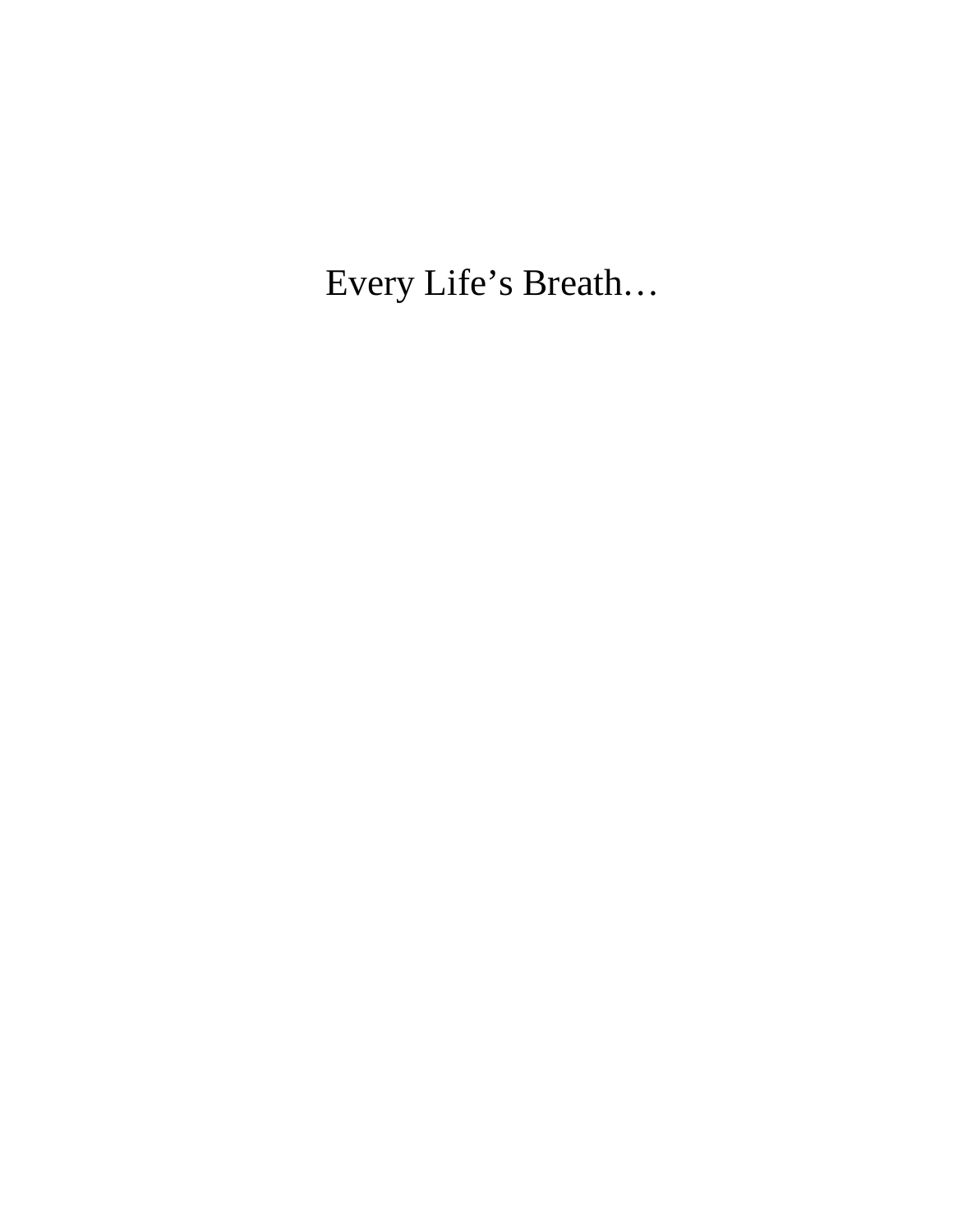Every Life's Breath…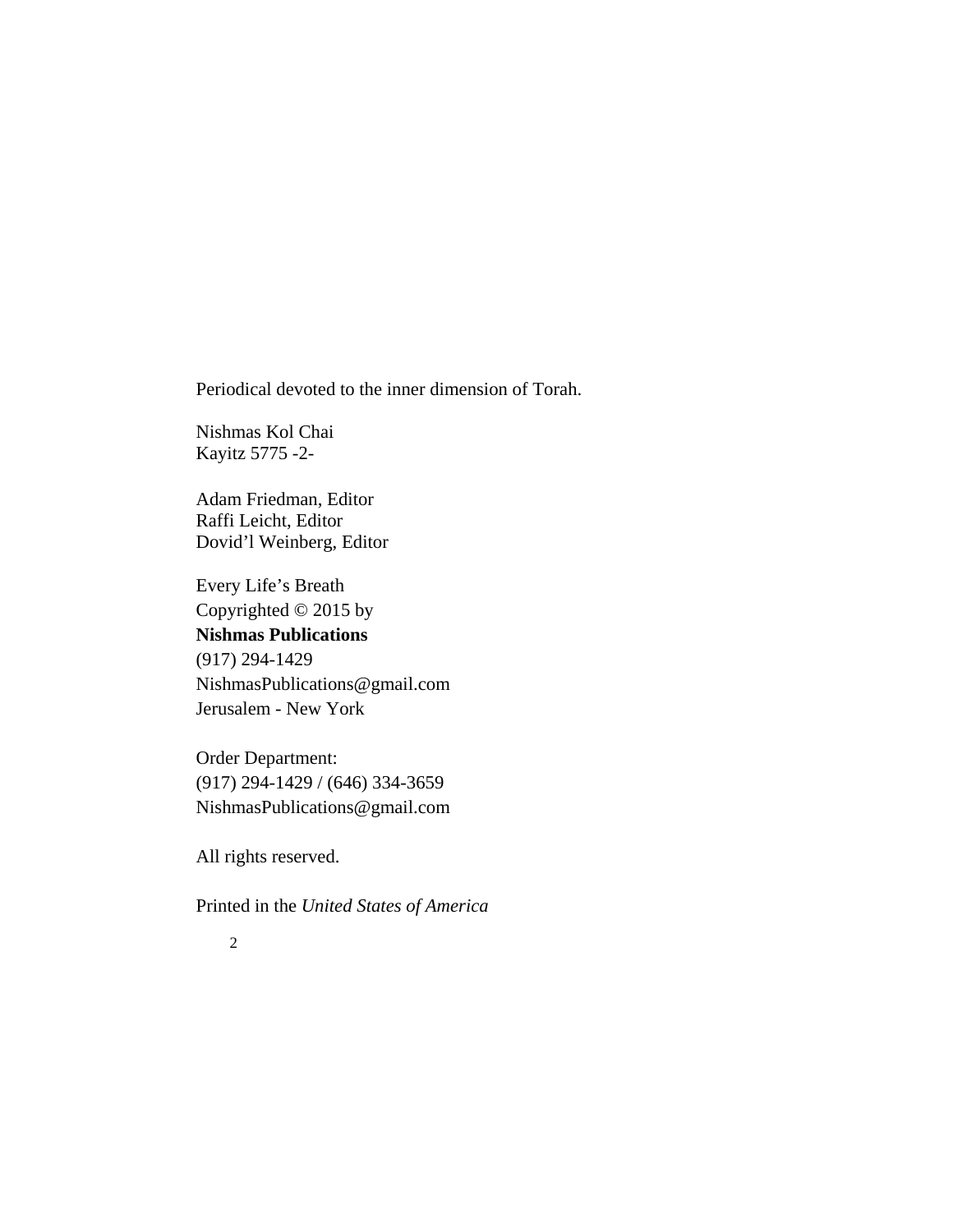Periodical devoted to the inner dimension of Torah.

Nishmas Kol Chai Kayitz 5775 -2-

Adam Friedman, Editor Raffi Leicht, Editor Dovid'l Weinberg, Editor

Every Life's Breath Copyrighted © 2015 by **Nishmas Publications** (917) 294-1429 NishmasPublications@gmail.com Jerusalem - New York

Order Department: (917) 294-1429 / (646) 334-3659 NishmasPublications@gmail.com

All rights reserved.

Printed in the *United States of America*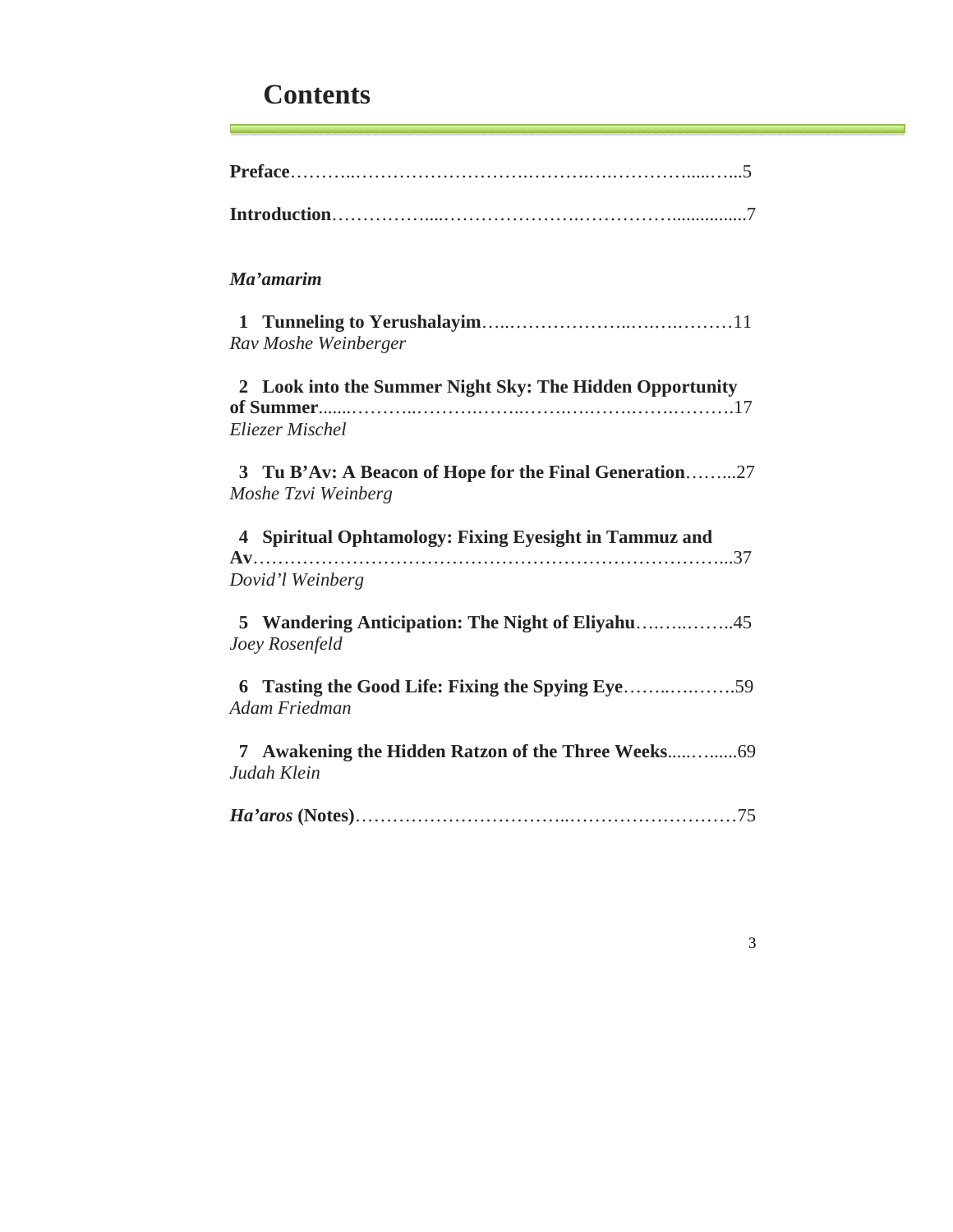# **Contents**

| Ma'amarim                                                                     |
|-------------------------------------------------------------------------------|
| Rav Moshe Weinberger                                                          |
| 2 Look into the Summer Night Sky: The Hidden Opportunity                      |
| Eliezer Mischel                                                               |
| 3 Tu B'Av: A Beacon of Hope for the Final Generation27<br>Moshe Tzvi Weinberg |
| 4 Spiritual Ophtamology: Fixing Eyesight in Tammuz and<br>Dovid'l Weinberg    |
| Joey Rosenfeld                                                                |
| Adam Friedman                                                                 |
| Judah Klein                                                                   |
|                                                                               |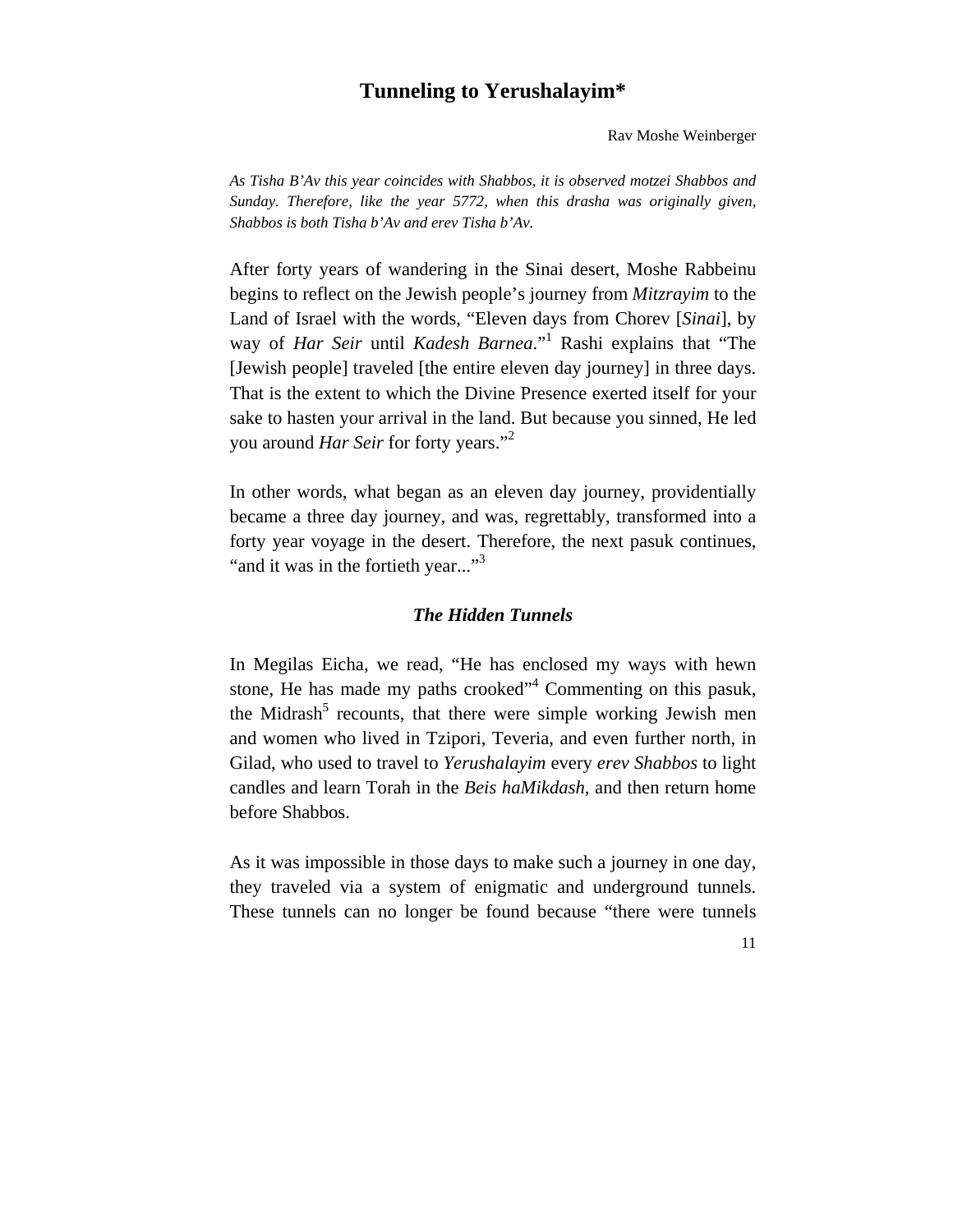# **Tunneling to Yerushalayim\***

Rav Moshe Weinberger

*As Tisha B'Av this year coincides with Shabbos, it is observed motzei Shabbos and Sunday. Therefore, like the year 5772, when this drasha was originally given, Shabbos is both Tisha b'Av and erev Tisha b'Av.*

After forty years of wandering in the Sinai desert, Moshe Rabbeinu begins to reflect on the Jewish people's journey from *Mitzrayim* to the Land of Israel with the words, "Eleven days from Chorev [*Sinai*], by way of *Har Seir* until *Kadesh Barnea*."<sup>1</sup> Rashi explains that "The [Jewish people] traveled [the entire eleven day journey] in three days. That is the extent to which the Divine Presence exerted itself for your sake to hasten your arrival in the land. But because you sinned, He led you around *Har Seir* for forty years."2

In other words, what began as an eleven day journey, providentially became a three day journey, and was, regrettably, transformed into a forty year voyage in the desert. Therefore, the next pasuk continues, "and it was in the fortieth year..."<sup>3</sup>

### *The Hidden Tunnels*

In Megilas Eicha, we read, "He has enclosed my ways with hewn stone, He has made my paths crooked"<sup>4</sup> Commenting on this pasuk, the Midrash<sup>5</sup> recounts, that there were simple working Jewish men and women who lived in Tzipori, Teveria, and even further north, in Gilad, who used to travel to *Yerushalayim* every *erev Shabbos* to light candles and learn Torah in the *Beis haMikdash,* and then return home before Shabbos.

As it was impossible in those days to make such a journey in one day, they traveled via a system of enigmatic and underground tunnels. These tunnels can no longer be found because "there were tunnels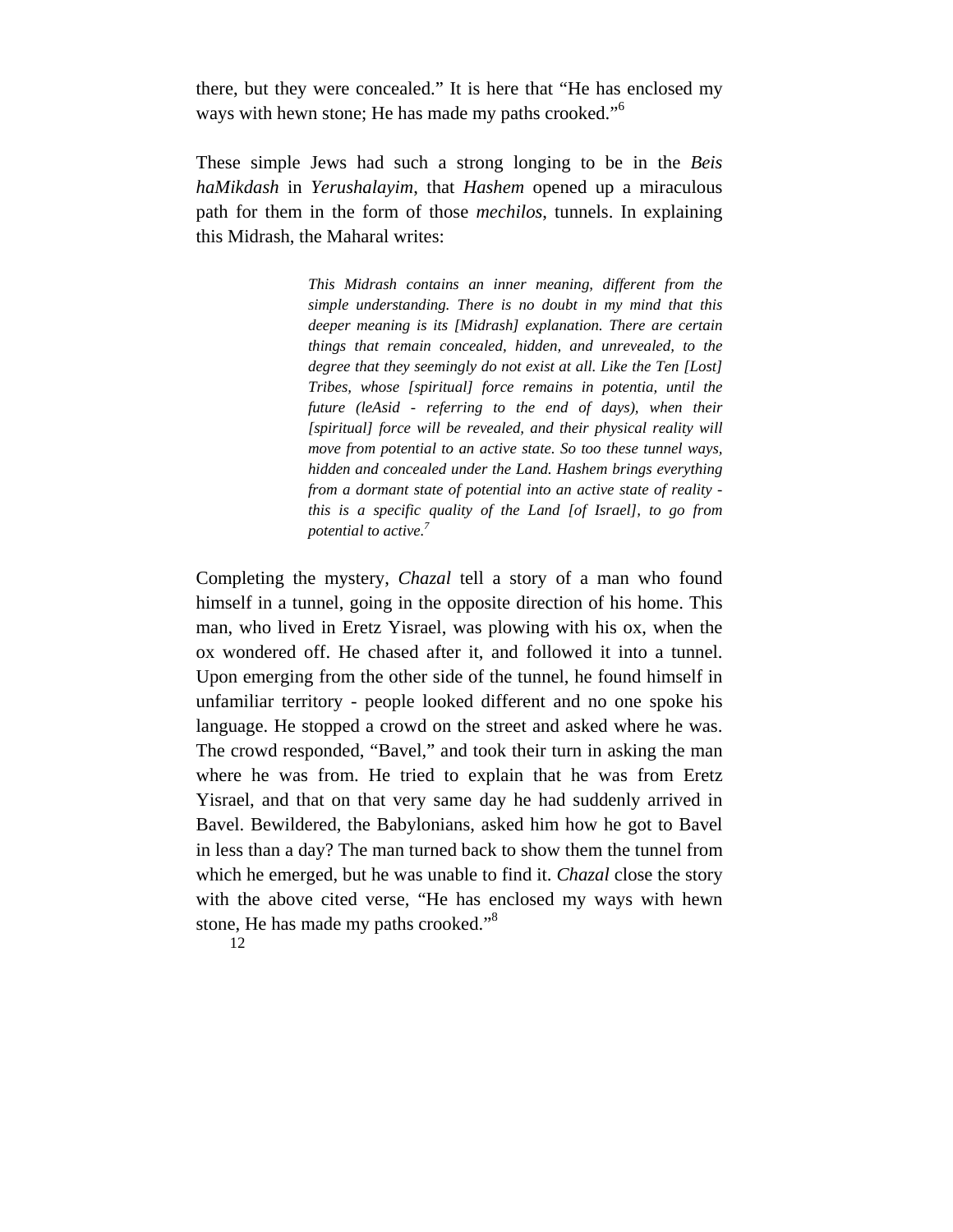there, but they were concealed." It is here that "He has enclosed my ways with hewn stone; He has made my paths crooked."<sup>6</sup>

These simple Jews had such a strong longing to be in the *Beis haMikdash* in *Yerushalayim*, that *Hashem* opened up a miraculous path for them in the form of those *mechilos*, tunnels. In explaining this Midrash, the Maharal writes:

> *This Midrash contains an inner meaning, different from the simple understanding. There is no doubt in my mind that this deeper meaning is its [Midrash] explanation. There are certain things that remain concealed, hidden, and unrevealed, to the degree that they seemingly do not exist at all. Like the Ten [Lost] Tribes, whose [spiritual] force remains in potentia, until the future (leAsid - referring to the end of days), when their [spiritual] force will be revealed, and their physical reality will move from potential to an active state. So too these tunnel ways, hidden and concealed under the Land. Hashem brings everything from a dormant state of potential into an active state of reality this is a specific quality of the Land [of Israel], to go from potential to active.7*

Completing the mystery, *Chazal* tell a story of a man who found himself in a tunnel, going in the opposite direction of his home. This man, who lived in Eretz Yisrael, was plowing with his ox, when the ox wondered off. He chased after it, and followed it into a tunnel. Upon emerging from the other side of the tunnel, he found himself in unfamiliar territory - people looked different and no one spoke his language. He stopped a crowd on the street and asked where he was. The crowd responded, "Bavel," and took their turn in asking the man where he was from. He tried to explain that he was from Eretz Yisrael, and that on that very same day he had suddenly arrived in Bavel. Bewildered, the Babylonians, asked him how he got to Bavel in less than a day? The man turned back to show them the tunnel from which he emerged, but he was unable to find it. *Chazal* close the story with the above cited verse, "He has enclosed my ways with hewn stone, He has made my paths crooked."8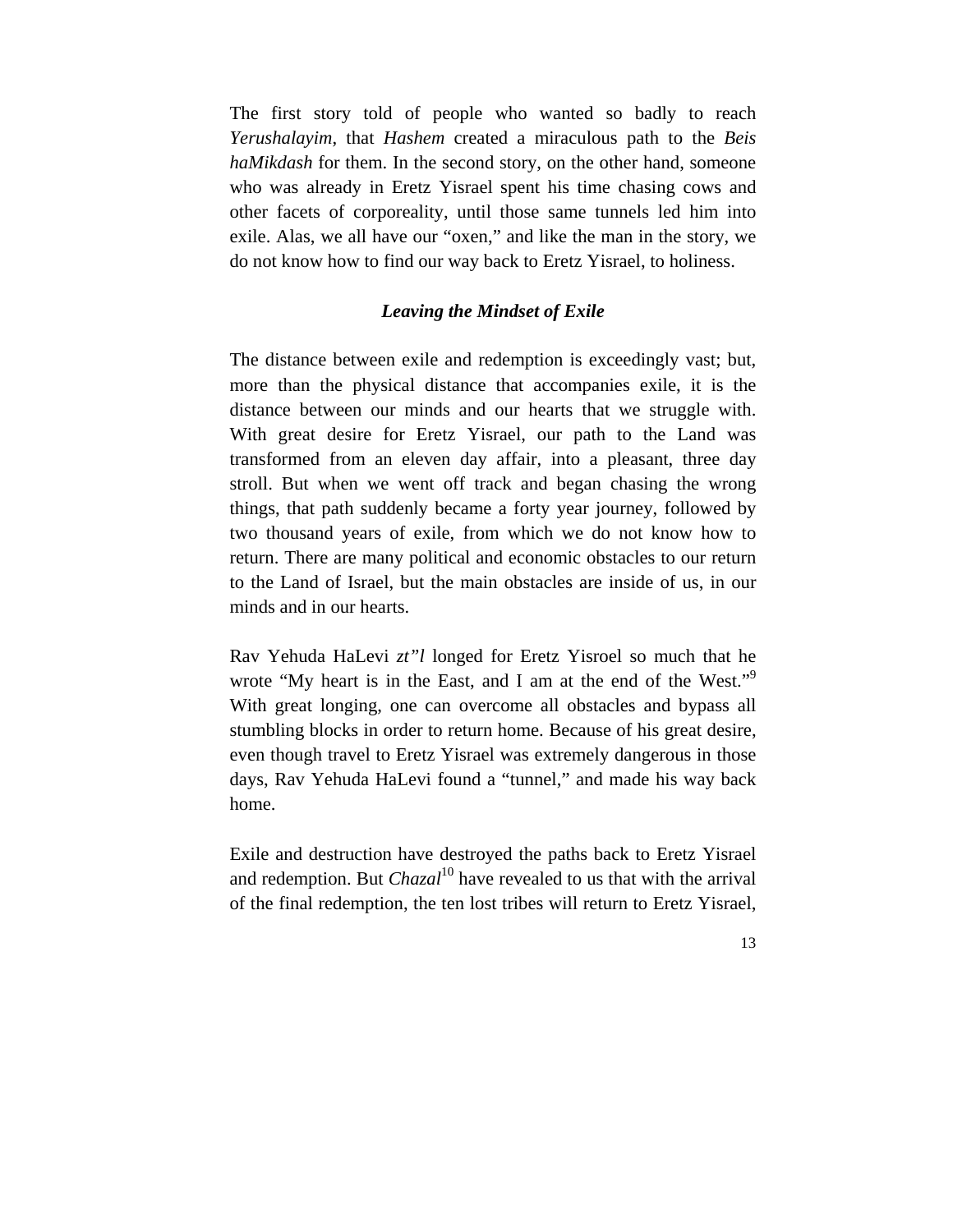The first story told of people who wanted so badly to reach *Yerushalayim*, that *Hashem* created a miraculous path to the *Beis haMikdash* for them. In the second story, on the other hand, someone who was already in Eretz Yisrael spent his time chasing cows and other facets of corporeality, until those same tunnels led him into exile. Alas, we all have our "oxen," and like the man in the story, we do not know how to find our way back to Eretz Yisrael, to holiness.

# *Leaving the Mindset of Exile*

The distance between exile and redemption is exceedingly vast; but, more than the physical distance that accompanies exile, it is the distance between our minds and our hearts that we struggle with. With great desire for Eretz Yisrael, our path to the Land was transformed from an eleven day affair, into a pleasant, three day stroll. But when we went off track and began chasing the wrong things, that path suddenly became a forty year journey, followed by two thousand years of exile, from which we do not know how to return. There are many political and economic obstacles to our return to the Land of Israel, but the main obstacles are inside of us, in our minds and in our hearts.

Rav Yehuda HaLevi *zt"l* longed for Eretz Yisroel so much that he wrote "My heart is in the East, and I am at the end of the West."<sup>9</sup> With great longing, one can overcome all obstacles and bypass all stumbling blocks in order to return home. Because of his great desire, even though travel to Eretz Yisrael was extremely dangerous in those days, Rav Yehuda HaLevi found a "tunnel," and made his way back home.

Exile and destruction have destroyed the paths back to Eretz Yisrael and redemption. But *Chazal*<sup>10</sup> have revealed to us that with the arrival of the final redemption, the ten lost tribes will return to Eretz Yisrael,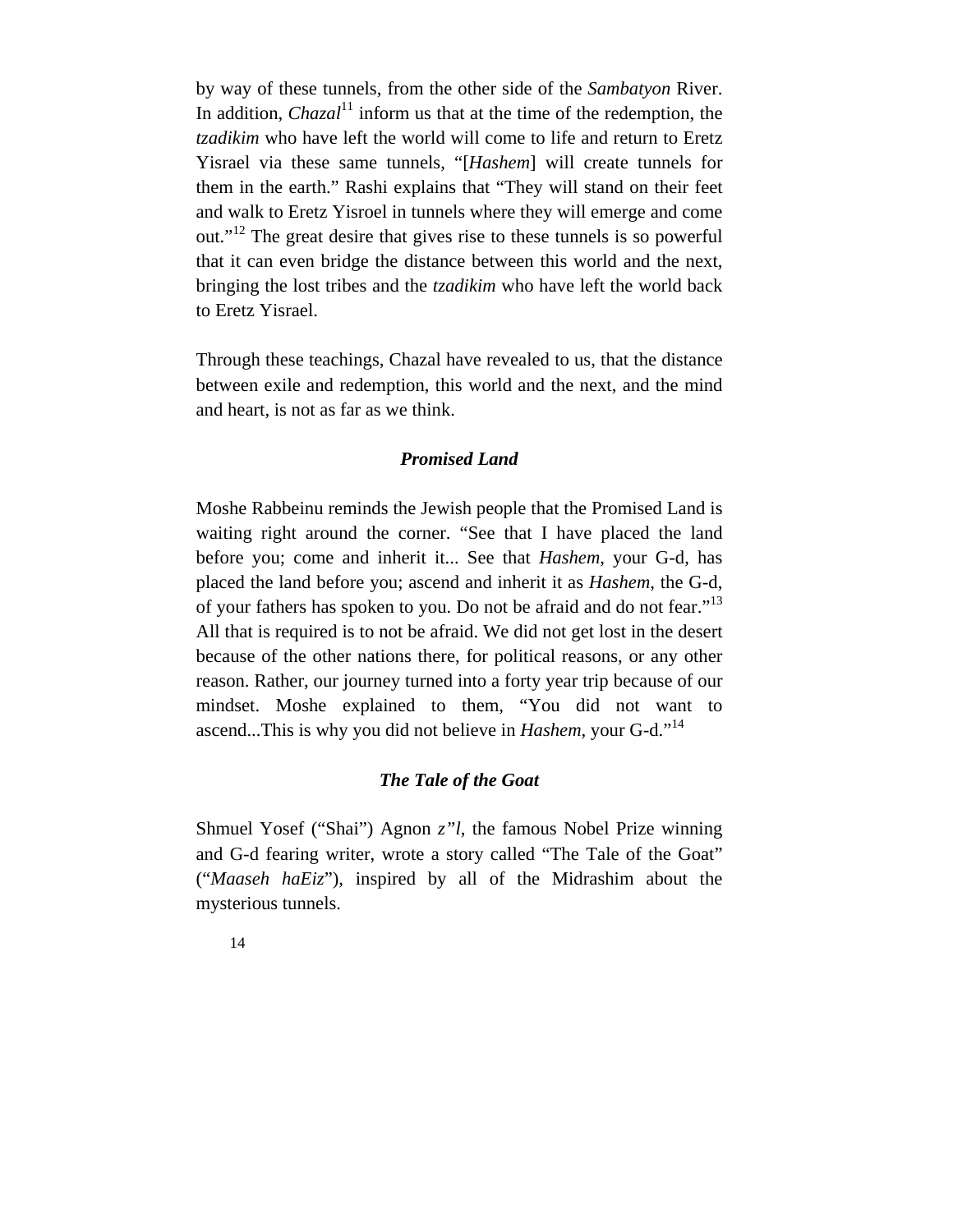by way of these tunnels, from the other side of the *Sambatyon* River. In addition, *Chazal*<sup>11</sup> inform us that at the time of the redemption, the *tzadikim* who have left the world will come to life and return to Eretz Yisrael via these same tunnels, "[*Hashem*] will create tunnels for them in the earth." Rashi explains that "They will stand on their feet and walk to Eretz Yisroel in tunnels where they will emerge and come out."<sup>12</sup> The great desire that gives rise to these tunnels is so powerful that it can even bridge the distance between this world and the next, bringing the lost tribes and the *tzadikim* who have left the world back to Eretz Yisrael.

Through these teachings, Chazal have revealed to us, that the distance between exile and redemption, this world and the next, and the mind and heart, is not as far as we think.

#### *Promised Land*

Moshe Rabbeinu reminds the Jewish people that the Promised Land is waiting right around the corner. "See that I have placed the land before you; come and inherit it... See that *Hashem*, your G-d, has placed the land before you; ascend and inherit it as *Hashem*, the G-d, of your fathers has spoken to you. Do not be afraid and do not fear."13 All that is required is to not be afraid. We did not get lost in the desert because of the other nations there, for political reasons, or any other reason. Rather, our journey turned into a forty year trip because of our mindset. Moshe explained to them, "You did not want to ascend...This is why you did not believe in *Hashem*, your G-d."<sup>14</sup>

## *The Tale of the Goat*

Shmuel Yosef ("Shai") Agnon *z"l*, the famous Nobel Prize winning and G-d fearing writer, wrote a story called "The Tale of the Goat" ("*Maaseh haEiz*"), inspired by all of the Midrashim about the mysterious tunnels.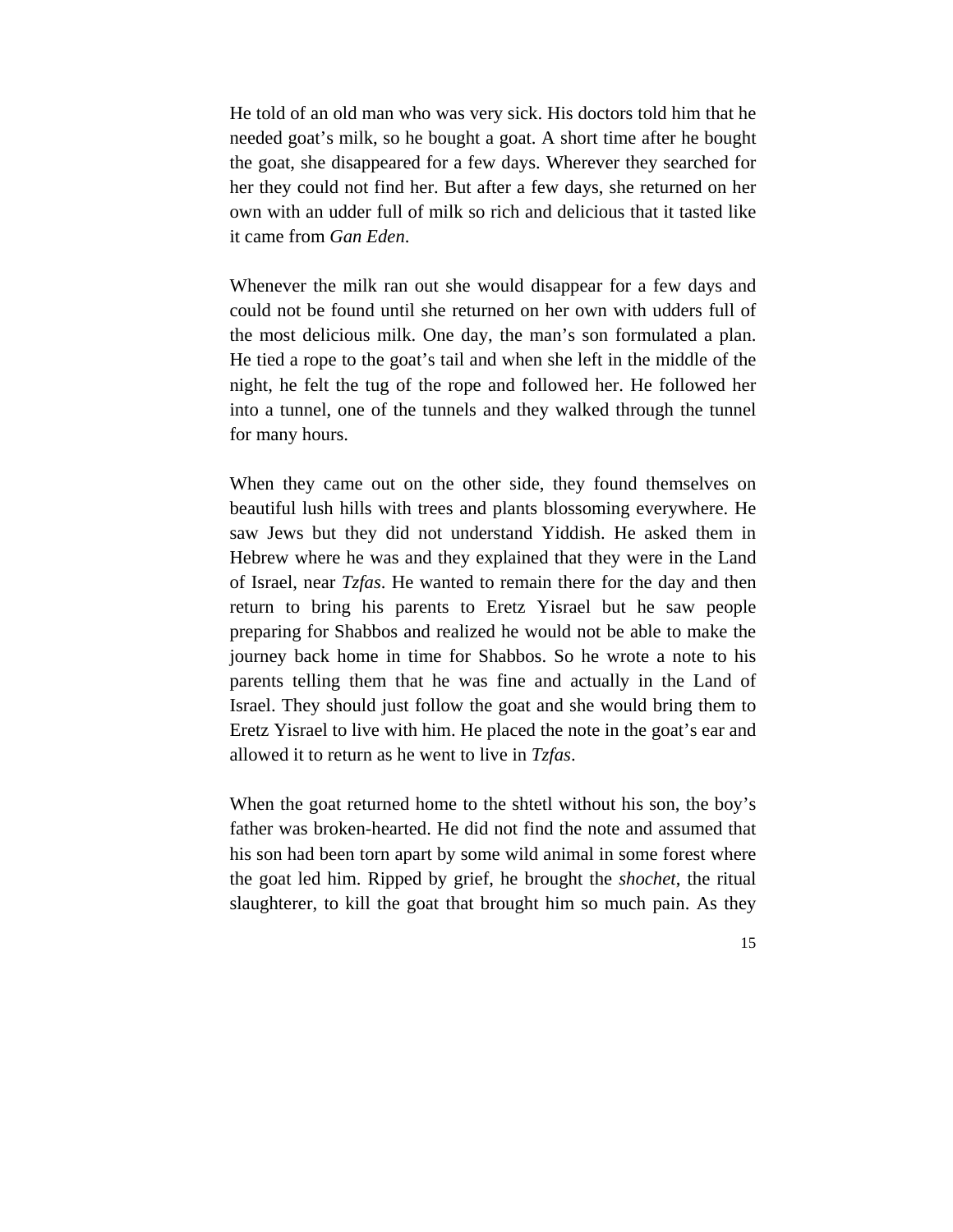He told of an old man who was very sick. His doctors told him that he needed goat's milk, so he bought a goat. A short time after he bought the goat, she disappeared for a few days. Wherever they searched for her they could not find her. But after a few days, she returned on her own with an udder full of milk so rich and delicious that it tasted like it came from *Gan Eden*.

Whenever the milk ran out she would disappear for a few days and could not be found until she returned on her own with udders full of the most delicious milk. One day, the man's son formulated a plan. He tied a rope to the goat's tail and when she left in the middle of the night, he felt the tug of the rope and followed her. He followed her into a tunnel, one of the tunnels and they walked through the tunnel for many hours.

When they came out on the other side, they found themselves on beautiful lush hills with trees and plants blossoming everywhere. He saw Jews but they did not understand Yiddish. He asked them in Hebrew where he was and they explained that they were in the Land of Israel, near *Tzfas*. He wanted to remain there for the day and then return to bring his parents to Eretz Yisrael but he saw people preparing for Shabbos and realized he would not be able to make the journey back home in time for Shabbos. So he wrote a note to his parents telling them that he was fine and actually in the Land of Israel. They should just follow the goat and she would bring them to Eretz Yisrael to live with him. He placed the note in the goat's ear and allowed it to return as he went to live in *Tzfas*.

When the goat returned home to the shtetl without his son, the boy's father was broken-hearted. He did not find the note and assumed that his son had been torn apart by some wild animal in some forest where the goat led him. Ripped by grief, he brought the *shochet*, the ritual slaughterer, to kill the goat that brought him so much pain. As they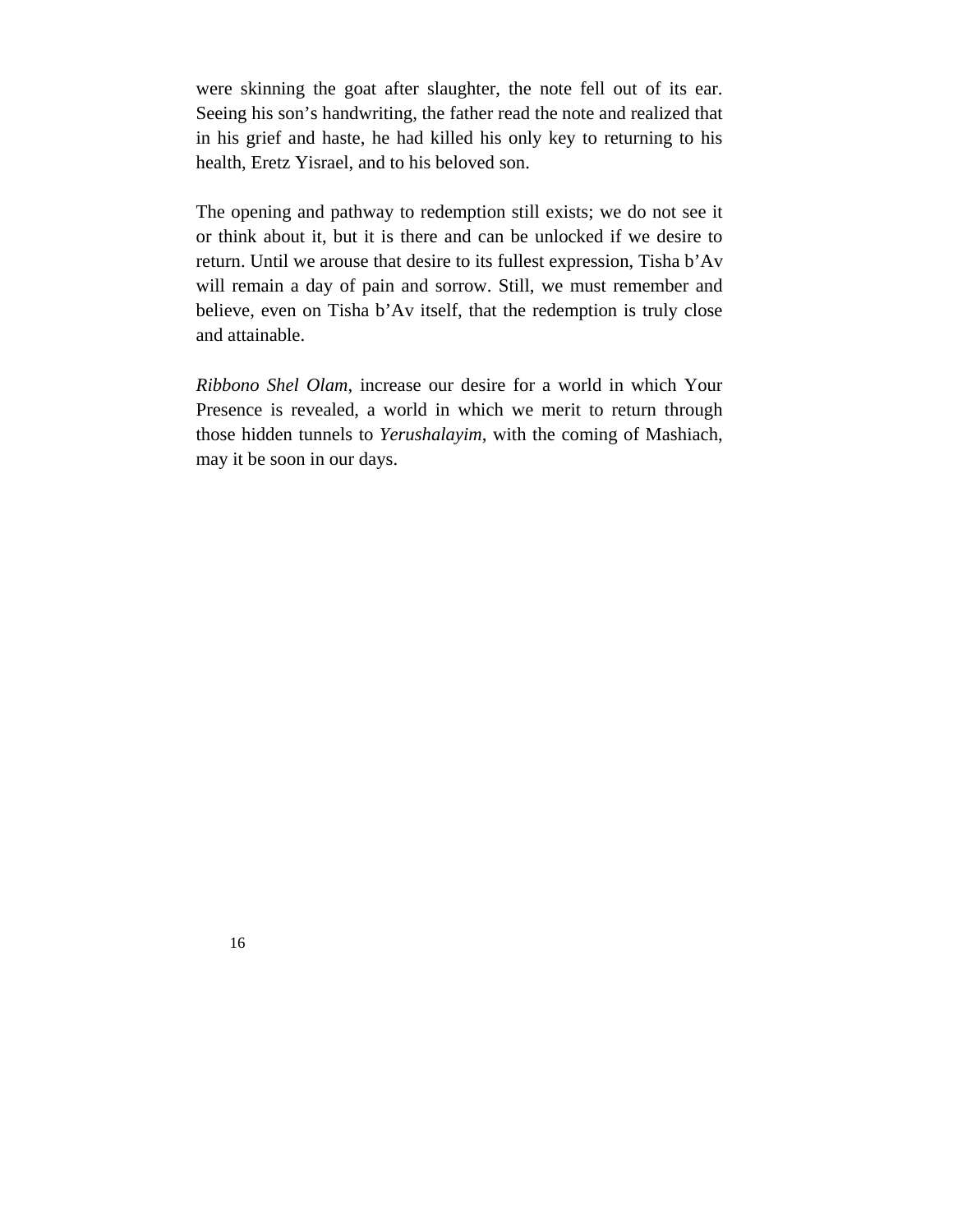were skinning the goat after slaughter, the note fell out of its ear. Seeing his son's handwriting, the father read the note and realized that in his grief and haste, he had killed his only key to returning to his health, Eretz Yisrael, and to his beloved son.

The opening and pathway to redemption still exists; we do not see it or think about it, but it is there and can be unlocked if we desire to return. Until we arouse that desire to its fullest expression, Tisha b'Av will remain a day of pain and sorrow. Still, we must remember and believe, even on Tisha b'Av itself, that the redemption is truly close and attainable.

*Ribbono Shel Olam*, increase our desire for a world in which Your Presence is revealed, a world in which we merit to return through those hidden tunnels to *Yerushalayim*, with the coming of Mashiach, may it be soon in our days.